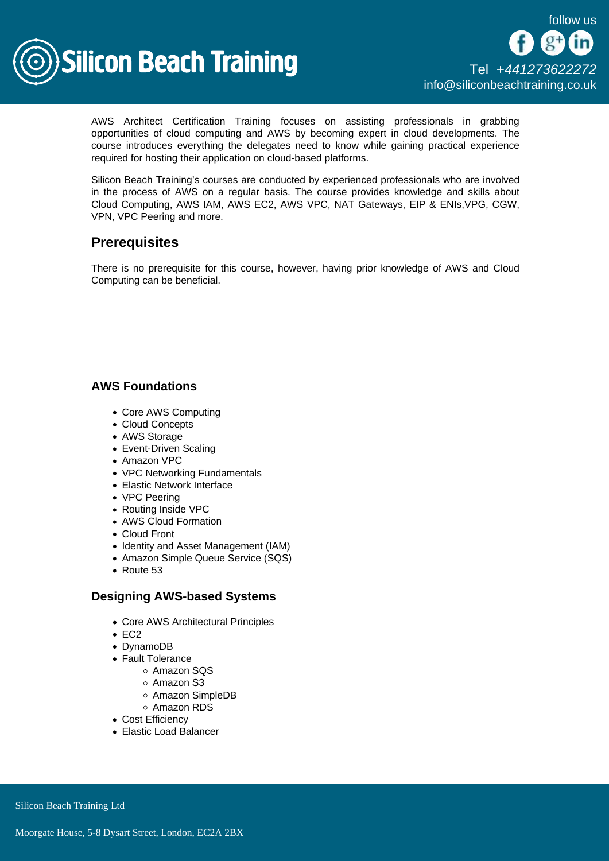

AWS Architect Certification Training focuses on assisting professionals in grabbing opportunities of cloud computing and AWS by becoming expert in cloud developments. The course introduces everything the delegates need to know while gaining practical experience required for hosting their application on cloud-based platforms.

Silicon Beach Training's courses are conducted by experienced professionals who are involved in the process of AWS on a regular basis. The course provides knowledge and skills about Cloud Computing, AWS IAM, AWS EC2, AWS VPC, NAT Gateways, EIP & ENIs,VPG, CGW, VPN, VPC Peering and more.

# **Prerequisites**

There is no prerequisite for this course, however, having prior knowledge of AWS and Cloud Computing can be beneficial.

# AWS Foundations

- Core AWS Computing
- Cloud Concepts
- AWS Storage
- Event-Driven Scaling
- Amazon VPC
- VPC Networking Fundamentals
- Elastic Network Interface
- VPC Peering
- Routing Inside VPC
- AWS Cloud Formation
- Cloud Front
- Identity and Asset Management (IAM)
- Amazon Simple Queue Service (SQS)
- Route 53

# Designing AWS-based Systems

- Core AWS Architectural Principles
- $\cdot$  EC<sub>2</sub>
- DynamoDB
- Fault Tolerance
	- Amazon SQS
	- Amazon S3
	- Amazon SimpleDB
	- Amazon RDS
- Cost Efficiency
- Elastic Load Balancer

Silicon Beach Training Ltd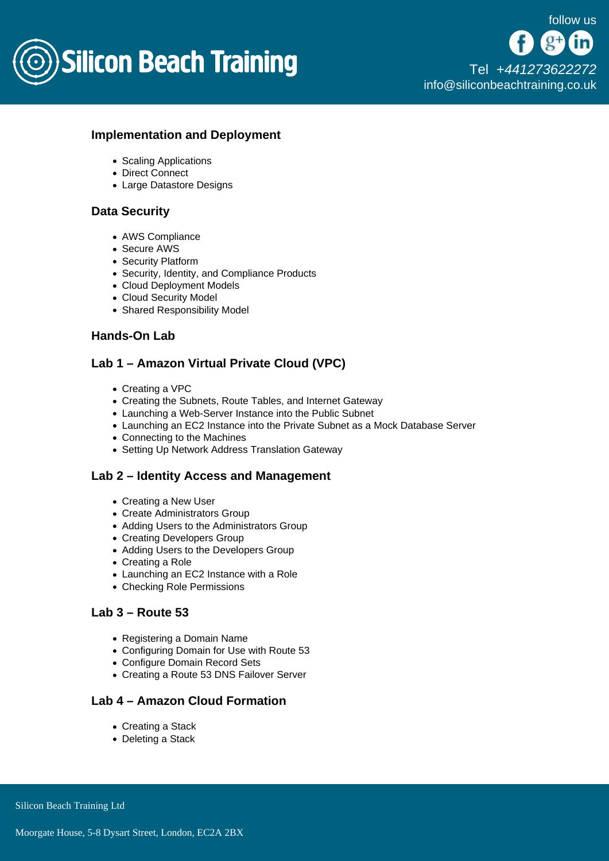

#### Implementation and Deployment

- Scaling Applications
- Direct Connect
- Large Datastore Designs

#### Data Security

- AWS Compliance
- Secure AWS
- Security Platform
- Security, Identity, and Compliance Products
- Cloud Deployment Models
- Cloud Security Model
- Shared Responsibility Model

### Hands-On Lab

# Lab 1 – Amazon Virtual Private Cloud (VPC)

- Creating a VPC
- Creating the Subnets, Route Tables, and Internet Gateway
- Launching a Web-Server Instance into the Public Subnet
- Launching an EC2 Instance into the Private Subnet as a Mock Database Server
- Connecting to the Machines
- Setting Up Network Address Translation Gateway

#### Lab 2 – Identity Access and Management

- Creating a New User
- Create Administrators Group
- Adding Users to the Administrators Group
- Creating Developers Group
- Adding Users to the Developers Group
- Creating a Role
- Launching an EC2 Instance with a Role
- Checking Role Permissions

# Lab 3 – Route 53

- Registering a Domain Name
- Configuring Domain for Use with Route 53
- Configure Domain Record Sets
- Creating a Route 53 DNS Failover Server

#### Lab 4 – Amazon Cloud Formation

- Creating a Stack
- Deleting a Stack

Silicon Beach Training Ltd